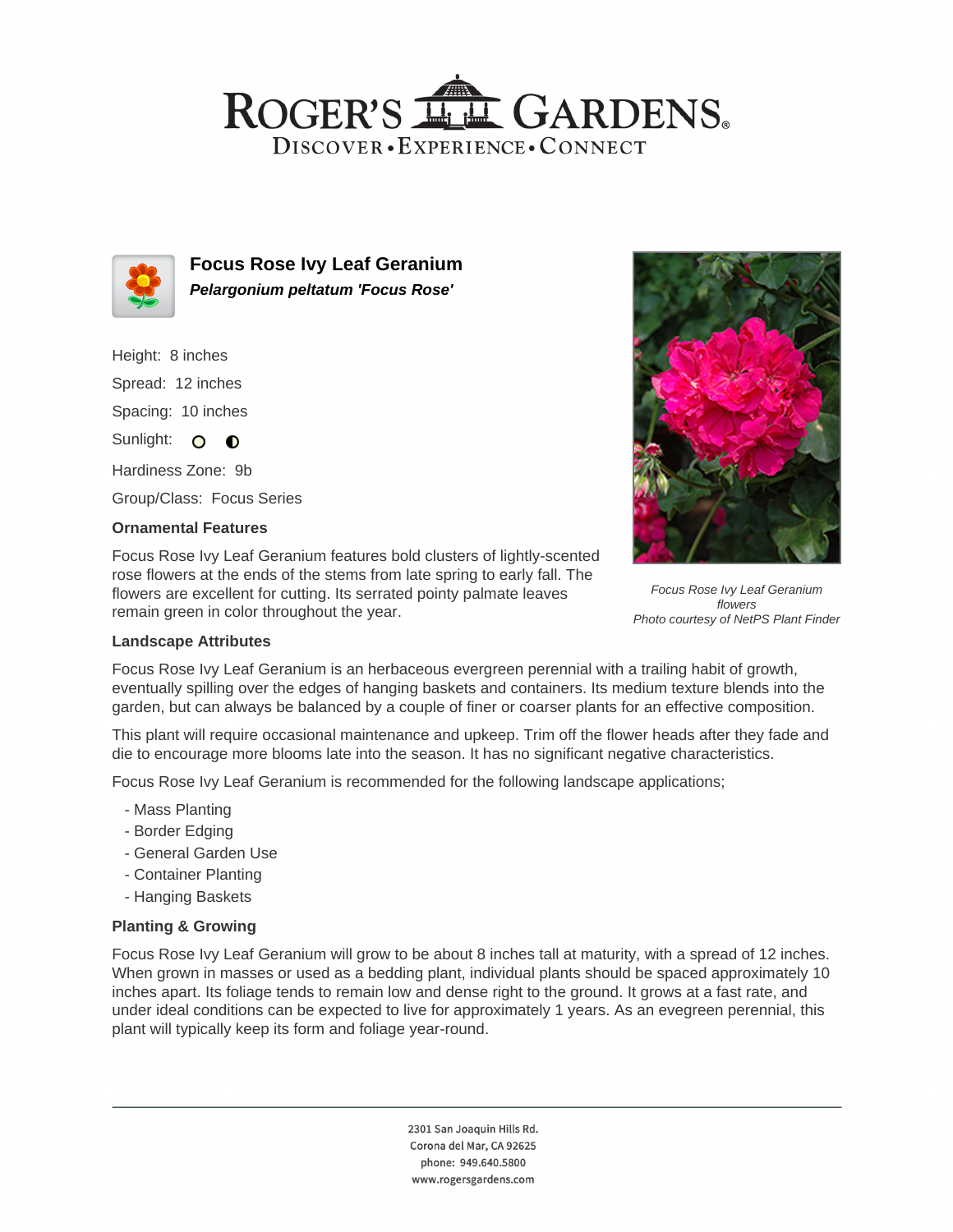## ROGER'S LL GARDENS. DISCOVER · EXPERIENCE · CONNECT



**Focus Rose Ivy Leaf Geranium Pelargonium peltatum 'Focus Rose'**

Height: 8 inches Spread: 12 inches Spacing: 10 inches

Sunlight: O **O** 

Hardiness Zone: 9b

Group/Class: Focus Series

### **Ornamental Features**

Focus Rose Ivy Leaf Geranium features bold clusters of lightly-scented rose flowers at the ends of the stems from late spring to early fall. The flowers are excellent for cutting. Its serrated pointy palmate leaves remain green in color throughout the year.



Focus Rose Ivy Leaf Geranium flowers Photo courtesy of NetPS Plant Finder

### **Landscape Attributes**

Focus Rose Ivy Leaf Geranium is an herbaceous evergreen perennial with a trailing habit of growth, eventually spilling over the edges of hanging baskets and containers. Its medium texture blends into the garden, but can always be balanced by a couple of finer or coarser plants for an effective composition.

This plant will require occasional maintenance and upkeep. Trim off the flower heads after they fade and die to encourage more blooms late into the season. It has no significant negative characteristics.

Focus Rose Ivy Leaf Geranium is recommended for the following landscape applications;

- Mass Planting
- Border Edging
- General Garden Use
- Container Planting
- Hanging Baskets

#### **Planting & Growing**

Focus Rose Ivy Leaf Geranium will grow to be about 8 inches tall at maturity, with a spread of 12 inches. When grown in masses or used as a bedding plant, individual plants should be spaced approximately 10 inches apart. Its foliage tends to remain low and dense right to the ground. It grows at a fast rate, and under ideal conditions can be expected to live for approximately 1 years. As an evegreen perennial, this plant will typically keep its form and foliage year-round.

> 2301 San Joaquin Hills Rd. Corona del Mar, CA 92625 phone: 949.640.5800 www.rogersgardens.com